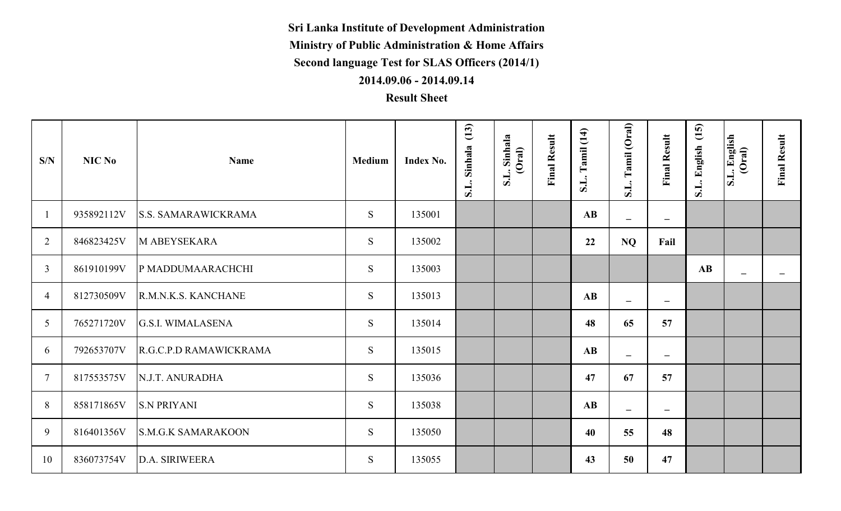**Sri Lanka Institute of Development Administration**

**Ministry of Public Administration & Home Affairs**

**Second language Test for SLAS Officers (2014/1)**

**2014.09.06 - 2014.09.14**

## **Result Sheet**

| S/N            | NIC No     | <b>Name</b>                | Medium | Index No. | (13)<br>Sinhala<br>S.L. | S.L. Sinhala<br>(Oral) | <b>Final Result</b> | S.L. Tamil (14)        | Tamil (Oral)<br>S.L.     | <b>Final Result</b>      | (15)<br>S.L. English | S.L. English<br>(Oral) | <b>Final Result</b>      |
|----------------|------------|----------------------------|--------|-----------|-------------------------|------------------------|---------------------|------------------------|--------------------------|--------------------------|----------------------|------------------------|--------------------------|
|                | 935892112V | <b>S.S. SAMARAWICKRAMA</b> | S      | 135001    |                         |                        |                     | <b>AB</b>              | $\equiv$                 | $\overline{\phantom{a}}$ |                      |                        |                          |
| $\overline{2}$ | 846823425V | <b>M ABEYSEKARA</b>        | S.     | 135002    |                         |                        |                     | 22                     | <b>NQ</b>                | Fail                     |                      |                        |                          |
| $\overline{3}$ | 861910199V | P MADDUMAARACHCHI          | S      | 135003    |                         |                        |                     |                        |                          |                          | AB                   | $\equiv$               | $\overline{\phantom{a}}$ |
| $\overline{4}$ | 812730509V | R.M.N.K.S. KANCHANE        | S.     | 135013    |                         |                        |                     | AB                     | $\overline{\phantom{m}}$ | $\overline{\phantom{m}}$ |                      |                        |                          |
| 5              | 765271720V | <b>G.S.I. WIMALASENA</b>   | S.     | 135014    |                         |                        |                     | 48                     | 65                       | 57                       |                      |                        |                          |
| 6              | 792653707V | R.G.C.P.D RAMAWICKRAMA     | S.     | 135015    |                         |                        |                     | $\mathbf{A}\mathbf{B}$ | $\overline{\phantom{0}}$ | $\equiv$                 |                      |                        |                          |
| $\overline{7}$ | 817553575V | N.J.T. ANURADHA            | S.     | 135036    |                         |                        |                     | 47                     | 67                       | 57                       |                      |                        |                          |
| 8              | 858171865V | <b>S.N PRIYANI</b>         | S.     | 135038    |                         |                        |                     | AB                     | $-$                      | $\overline{\phantom{m}}$ |                      |                        |                          |
| 9              | 816401356V | <b>S.M.G.K SAMARAKOON</b>  | S.     | 135050    |                         |                        |                     | 40                     | 55                       | 48                       |                      |                        |                          |
| 10             | 836073754V | D.A. SIRIWEERA             | S.     | 135055    |                         |                        |                     | 43                     | 50                       | 47                       |                      |                        |                          |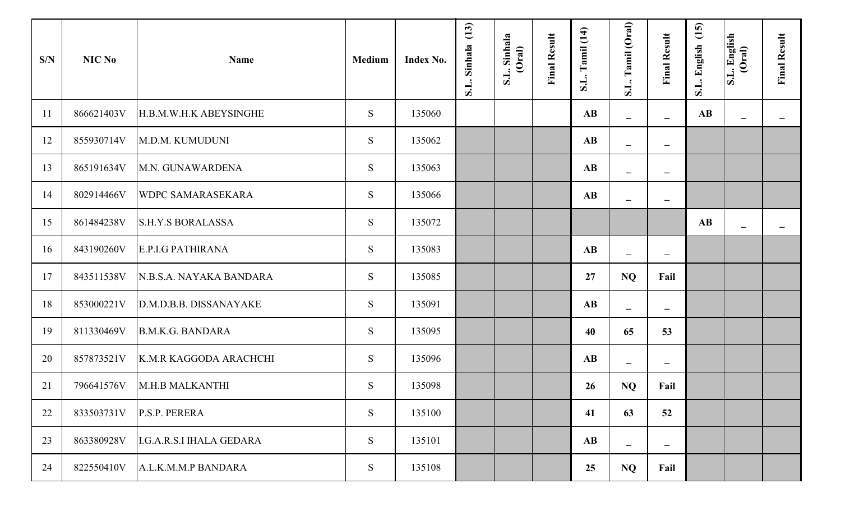| S/N | NIC No     | <b>Name</b>                     | <b>Medium</b> | Index No. | S.L. Sinhala (13) | S.L. Sinhala<br>(Oral) | <b>Final Result</b> | (14)<br><b>Tamil</b><br>$\overline{\mathbf{S}}$ . | Tamil (Oral)<br>S.L.           | <b>Final Result</b>      | (15)<br>S.L. English   | S.L. English<br>(Oral)   | <b>Final Result</b> |
|-----|------------|---------------------------------|---------------|-----------|-------------------|------------------------|---------------------|---------------------------------------------------|--------------------------------|--------------------------|------------------------|--------------------------|---------------------|
| 11  | 866621403V | H.B.M.W.H.K ABEYSINGHE          | S             | 135060    |                   |                        |                     | $\mathbf{A}\mathbf{B}$                            | $\equiv$                       |                          | $\mathbf{A}\mathbf{B}$ | $\overline{\phantom{0}}$ | $\qquad \qquad$     |
| 12  | 855930714V | M.D.M. KUMUDUNI                 | S             | 135062    |                   |                        |                     | $\mathbf{A}\mathbf{B}$                            | $\equiv$                       | $\overline{\phantom{m}}$ |                        |                          |                     |
| 13  | 865191634V | M.N. GUNAWARDENA                | S             | 135063    |                   |                        |                     | $\mathbf{A}\mathbf{B}$                            | $\equiv$                       | $\overline{\phantom{a}}$ |                        |                          |                     |
| 14  | 802914466V | <b>WDPC SAMARASEKARA</b>        | S             | 135066    |                   |                        |                     | $\mathbf{A}\mathbf{B}$                            | $\qquad \qquad \longleftarrow$ | $\qquad \qquad -$        |                        |                          |                     |
| 15  | 861484238V | <b>S.H.Y.S BORALASSA</b>        | S             | 135072    |                   |                        |                     |                                                   |                                |                          | $\mathbf{A}\mathbf{B}$ | $\sim$                   | $\equiv$            |
| 16  | 843190260V | <b>E.P.I.G PATHIRANA</b>        | S             | 135083    |                   |                        |                     | $\mathbf{A}\mathbf{B}$                            | $\equiv$                       | $\overline{\phantom{m}}$ |                        |                          |                     |
| 17  | 843511538V | N.B.S.A. NAYAKA BANDARA         | S             | 135085    |                   |                        |                     | 27                                                | <b>NQ</b>                      | Fail                     |                        |                          |                     |
| 18  | 853000221V | D.M.D.B.B. DISSANAYAKE          | S             | 135091    |                   |                        |                     | $\mathbf{A}\mathbf{B}$                            | $\overline{\phantom{m}}$       | $\overline{\phantom{m}}$ |                        |                          |                     |
| 19  | 811330469V | B.M.K.G. BANDARA                | S             | 135095    |                   |                        |                     | 40                                                | 65                             | 53                       |                        |                          |                     |
| 20  | 857873521V | K.M.R KAGGODA ARACHCHI          | S             | 135096    |                   |                        |                     | $\mathbf{A}\mathbf{B}$                            | $\equiv$                       | $\overline{\phantom{m}}$ |                        |                          |                     |
| 21  | 796641576V | M.H.B MALKANTHI                 | S             | 135098    |                   |                        |                     | 26                                                | <b>NQ</b>                      | Fail                     |                        |                          |                     |
| 22  | 833503731V | P.S.P. PERERA                   | S             | 135100    |                   |                        |                     | 41                                                | 63                             | 52                       |                        |                          |                     |
| 23  | 863380928V | <b>I.G.A.R.S.I IHALA GEDARA</b> | S             | 135101    |                   |                        |                     | $\mathbf{A}\mathbf{B}$                            | $\overline{\phantom{m}}$       | $\overline{\phantom{m}}$ |                        |                          |                     |
| 24  | 822550410V | A.L.K.M.M.P BANDARA             | S             | 135108    |                   |                        |                     | 25                                                | <b>NQ</b>                      | Fail                     |                        |                          |                     |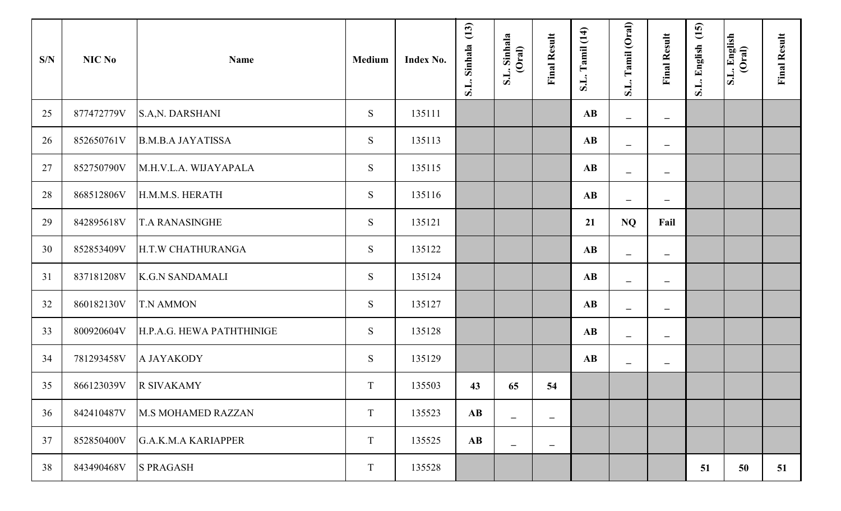| S/N | NIC No     | <b>Name</b>                | Medium | Index No. | (13)<br>S.L. Sinhala   | S.L. Sinhala<br>(Oral)   | <b>Final Result</b>      | S.L. Tamil (14)        | S.L. Tamil (Oral)        | <b>Final Result</b>          | (15)<br>S.L. English | S.L. English<br>(Oral) | <b>Final Result</b> |
|-----|------------|----------------------------|--------|-----------|------------------------|--------------------------|--------------------------|------------------------|--------------------------|------------------------------|----------------------|------------------------|---------------------|
| 25  | 877472779V | <b>S.A.N. DARSHANI</b>     | S      | 135111    |                        |                          |                          | $\mathbf{A}\mathbf{B}$ | $\overline{\phantom{m}}$ | $\qquad \qquad -$            |                      |                        |                     |
| 26  | 852650761V | <b>B.M.B.A JAYATISSA</b>   | S      | 135113    |                        |                          |                          | $\mathbf{A}\mathbf{B}$ | $\equiv$                 | $\overline{\phantom{0}}$     |                      |                        |                     |
| 27  | 852750790V | M.H.V.L.A. WIJAYAPALA      | S      | 135115    |                        |                          |                          | $\mathbf{A}\mathbf{B}$ | -                        | $\qquad \qquad -$            |                      |                        |                     |
| 28  | 868512806V | H.M.M.S. HERATH            | S      | 135116    |                        |                          |                          | $\mathbf{A}\mathbf{B}$ | $\overline{\phantom{m}}$ | $\qquad \qquad \blacksquare$ |                      |                        |                     |
| 29  | 842895618V | <b>T.A RANASINGHE</b>      | S      | 135121    |                        |                          |                          | 21                     | NQ                       | Fail                         |                      |                        |                     |
| 30  | 852853409V | H.T.W CHATHURANGA          | S      | 135122    |                        |                          |                          | $\mathbf{A}\mathbf{B}$ | $\overline{\phantom{0}}$ | -                            |                      |                        |                     |
| 31  | 837181208V | <b>K.G.N SANDAMALI</b>     | S      | 135124    |                        |                          |                          | $\mathbf{A}\mathbf{B}$ | $\overline{\phantom{0}}$ | $\overline{\phantom{0}}$     |                      |                        |                     |
| 32  | 860182130V | <b>T.N AMMON</b>           | S      | 135127    |                        |                          |                          | $\mathbf{A}\mathbf{B}$ | $\overline{\phantom{m}}$ | $\qquad \qquad -$            |                      |                        |                     |
| 33  | 800920604V | H.P.A.G. HEWA PATHTHINIGE  | S.     | 135128    |                        |                          |                          | $\mathbf{A}\mathbf{B}$ | $\overline{\phantom{m}}$ | $\overline{\phantom{0}}$     |                      |                        |                     |
| 34  | 781293458V | A JAYAKODY                 | S      | 135129    |                        |                          |                          | $\mathbf{A}\mathbf{B}$ | $\overline{\phantom{m}}$ | $\qquad \qquad -$            |                      |                        |                     |
| 35  | 866123039V | <b>R SIVAKAMY</b>          | T      | 135503    | 43                     | 65                       | 54                       |                        |                          |                              |                      |                        |                     |
| 36  | 842410487V | <b>M.S MOHAMED RAZZAN</b>  | T      | 135523    | $\mathbf{A}\mathbf{B}$ | $\overline{\phantom{a}}$ | $\overline{\phantom{m}}$ |                        |                          |                              |                      |                        |                     |
| 37  | 852850400V | <b>G.A.K.M.A KARIAPPER</b> | T      | 135525    | $\mathbf{A}\mathbf{B}$ | $\overline{\phantom{a}}$ | $\overline{\phantom{m}}$ |                        |                          |                              |                      |                        |                     |
| 38  | 843490468V | <b>S PRAGASH</b>           | T      | 135528    |                        |                          |                          |                        |                          |                              | 51                   | 50                     | 51                  |